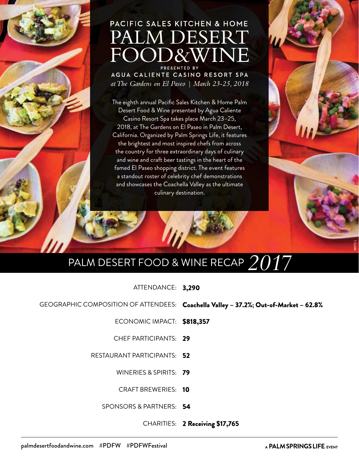## PACIFIC SALES KITCHEN & HOME PALM DESERT

AGUA CALIENTE CASINO RESORT SPA at The Gardens on El Paseo | March 23-25, 2018

The eighth annual Pacific Sales Kitchen & Home Palm Desert Food & Wine presented by Agua Caliente Casino Resort Spa takes place March 23–25, 2018, at The Gardens on El Paseo in Palm Desert, California. Organized by Palm Springs Life, it features the brightest and most inspired chefs from across the country for three extraordinary days of culinary and wine and craft beer tastings in the heart of the famed El Paseo shopping district. The event features a standout roster of celebrity chef demonstrations and showcases the Coachella Valley as the ultimate culinary destination.

### PALM DESERT FOOD & WINE RECAP  $\it 2017$

ATTENDANCE: 3,290

GEOGRAPHIC COMPOSITION OF ATTENDEES: Coachella Valley – 37.2%; Out-of-Market – 62.8%

ECONOMIC IMPACT: \$818,357

CHEF PARTICIPANTS: 29

RESTAURANT PARTICIPANTS: 52

WINERIES & SPIRITS: **79** 

CRAFT BREWERIES: 10

SPONSORS & PARTNERS: 54

CHARITIES: 2 Receiving \$17,765

A PALM SPRINGS LIFE EVENT

T. CLARK